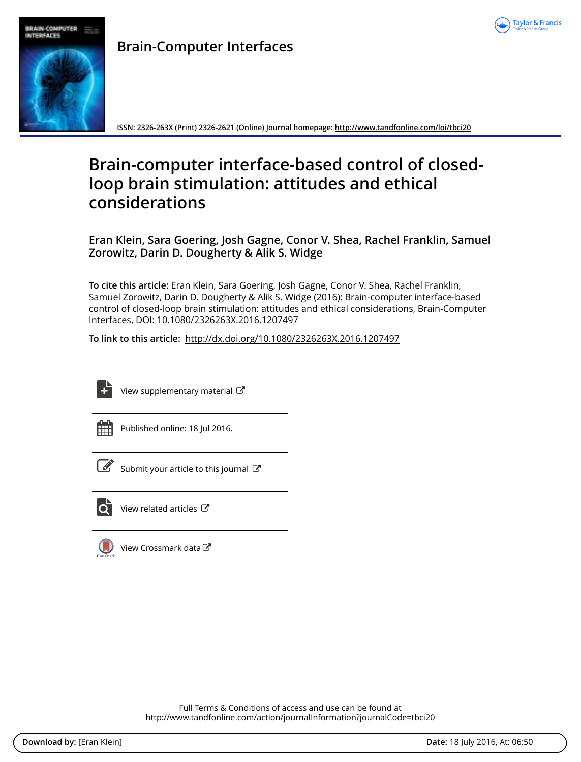



**Brain-Computer Interfaces**

**ISSN: 2326-263X (Print) 2326-2621 (Online) Journal homepage: <http://www.tandfonline.com/loi/tbci20>**

# **Brain-computer interface-based control of closedloop brain stimulation: attitudes and ethical considerations**

**Eran Klein, Sara Goering, Josh Gagne, Conor V. Shea, Rachel Franklin, Samuel Zorowitz, Darin D. Dougherty & Alik S. Widge**

**To cite this article:** Eran Klein, Sara Goering, Josh Gagne, Conor V. Shea, Rachel Franklin, Samuel Zorowitz, Darin D. Dougherty & Alik S. Widge (2016): Brain-computer interface-based control of closed-loop brain stimulation: attitudes and ethical considerations, Brain-Computer Interfaces, DOI: [10.1080/2326263X.2016.1207497](http://www.tandfonline.com/action/showCitFormats?doi=10.1080/2326263X.2016.1207497)

**To link to this article:** <http://dx.doi.org/10.1080/2326263X.2016.1207497>



[View supplementary material](http://www.tandfonline.com/doi/suppl/10.1080/2326263X.2016.1207497)  $\mathbb{Z}^n$ 

Published online: 18 Jul 2016.



 $\overrightarrow{S}$  [Submit your article to this journal](http://www.tandfonline.com/action/authorSubmission?journalCode=tbci20&page=instructions)  $\overrightarrow{S}$ 



 $\overline{Q}$  [View related articles](http://www.tandfonline.com/doi/mlt/10.1080/2326263X.2016.1207497)  $\mathbb{Z}$ 

 $\bigcirc$  [View Crossmark data](http://crossmark.crossref.org/dialog/?doi=10.1080/2326263X.2016.1207497&domain=pdf&date_stamp=2016-07-18) $\mathbb{Z}$ 

Full Terms & Conditions of access and use can be found at <http://www.tandfonline.com/action/journalInformation?journalCode=tbci20>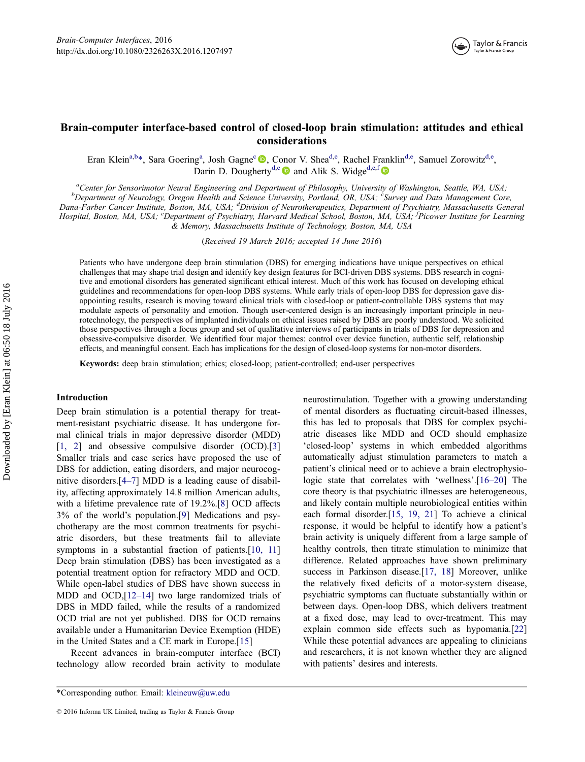# <span id="page-1-0"></span>Brain-computer interface-based control of closed-loop brain stimulation: attitudes and ethical considerations

Eran Klein<sup>a[,](http://orcid.org/0000-0001-8580-1533)b\*</sup>, Sara Goering<sup>a</sup>, Josh Gagne<sup>c</sup> D, Conor V. Shea<sup>d,e</sup>, Rachel Franklin<sup>d,e</sup>, Samuel Zorowitz<sup>d,e</sup>, Darin D. Dougherty<sup>d,e</sup> and Alik S. Widge<sup>d,e,f</sup>

<sup>a</sup>Center for Sensorimotor Neural Engineering and Department of Philosophy, University of Washington, Seattle, WA, USA;<br><sup>b</sup>Department of Neurology Oregon Health and Science University Portland, OB, USA; Survey and Data Man Department of Neurology, Oregon Health and Science University, Portland, OR, USA; <sup>c</sup>Survey and Data Management Core, Dana-Farber Cancer Institute, Boston, MA, USA; <sup>d</sup>Division of Neurotherapeutics, Department of Psychiatry, Massachusetts General Hospital, Boston, MA, USA; <sup>e</sup>Department of Psychiatry, Harvard Medical School, Boston, MA, USA; <sup>f</sup>Picower Institute for Learning

& Memory, Massachusetts Institute of Technology, Boston, MA, USA

(Received 19 March 2016; accepted 14 June 2016)

Patients who have undergone deep brain stimulation (DBS) for emerging indications have unique perspectives on ethical challenges that may shape trial design and identify key design features for BCI-driven DBS systems. DBS research in cognitive and emotional disorders has generated significant ethical interest. Much of this work has focused on developing ethical guidelines and recommendations for open-loop DBS systems. While early trials of open-loop DBS for depression gave disappointing results, research is moving toward clinical trials with closed-loop or patient-controllable DBS systems that may modulate aspects of personality and emotion. Though user-centered design is an increasingly important principle in neurotechnology, the perspectives of implanted individuals on ethical issues raised by DBS are poorly understood. We solicited those perspectives through a focus group and set of qualitative interviews of participants in trials of DBS for depression and obsessive-compulsive disorder. We identified four major themes: control over device function, authentic self, relationship effects, and meaningful consent. Each has implications for the design of closed-loop systems for non-motor disorders.

Keywords: deep brain stimulation; ethics; closed-loop; patient-controlled; end-user perspectives

#### Introduction

Deep brain stimulation is a potential therapy for treatment-resistant psychiatric disease. It has undergone formal clinical trials in major depressive disorder (MDD) [\[1, 2\]](#page-8-0) and obsessive compulsive disorder (OCD).[[3\]](#page-8-0) Smaller trials and case series have proposed the use of DBS for addiction, eating disorders, and major neurocognitive disorders.[4–[7\]](#page-8-0) MDD is a leading cause of disability, affecting approximately 14.8 million American adults, with a lifetime prevalence rate of 19.2%.[[8\]](#page-8-0) OCD affects 3% of the world's population.[\[9](#page-8-0)] Medications and psychotherapy are the most common treatments for psychiatric disorders, but these treatments fail to alleviate symptoms in a substantial fraction of patients.[\[10, 11\]](#page-8-0) Deep brain stimulation (DBS) has been investigated as a potential treatment option for refractory MDD and OCD. While open-label studies of DBS have shown success in MDD and OCD,[\[12](#page-8-0)–14] two large randomized trials of DBS in MDD failed, while the results of a randomized OCD trial are not yet published. DBS for OCD remains available under a Humanitarian Device Exemption (HDE) in the United States and a CE mark in Europe.[[15\]](#page-8-0)

Recent advances in brain-computer interface (BCI) technology allow recorded brain activity to modulate

neurostimulation. Together with a growing understanding of mental disorders as fluctuating circuit-based illnesses, this has led to proposals that DBS for complex psychiatric diseases like MDD and OCD should emphasize 'closed-loop' systems in which embedded algorithms automatically adjust stimulation parameters to match a patient's clinical need or to achieve a brain electrophysiologic state that correlates with 'wellness'.[16–[20\]](#page-8-0) The core theory is that psychiatric illnesses are heterogeneous, and likely contain multiple neurobiological entities within each formal disorder.[[15, 19, 21](#page-8-0)] To achieve a clinical response, it would be helpful to identify how a patient's brain activity is uniquely different from a large sample of healthy controls, then titrate stimulation to minimize that difference. Related approaches have shown preliminary success in Parkinson disease.[\[17, 18\]](#page-8-0) Moreover, unlike the relatively fixed deficits of a motor-system disease, psychiatric symptoms can fluctuate substantially within or between days. Open-loop DBS, which delivers treatment at a fixed dose, may lead to over-treatment. This may explain common side effects such as hypomania.[[22\]](#page-8-0) While these potential advances are appealing to clinicians and researchers, it is not known whether they are aligned with patients' desires and interests.

<sup>\*</sup>Corresponding author. Email: [kleineuw@uw.edu](mailto:kleineuw@uw.edu)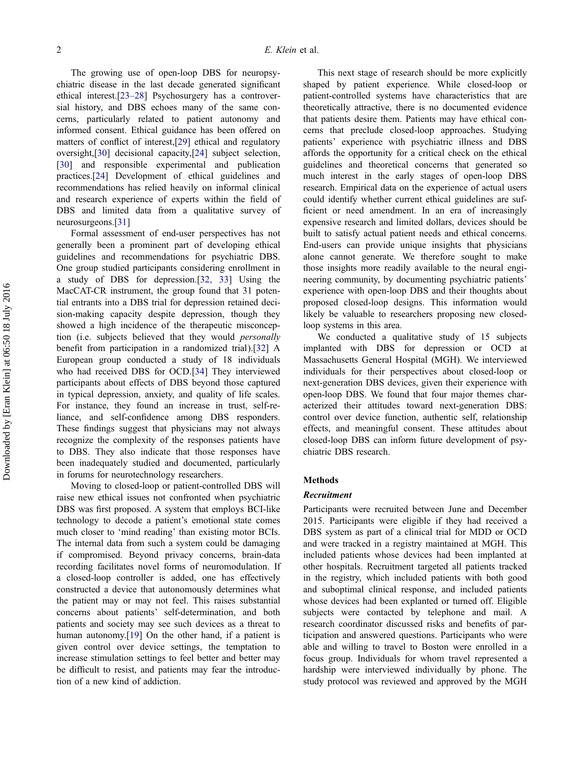<span id="page-2-0"></span>The growing use of open-loop DBS for neuropsychiatric disease in the last decade generated significant ethical interest.[\[23](#page-8-0)–28] Psychosurgery has a controversial history, and DBS echoes many of the same concerns, particularly related to patient autonomy and informed consent. Ethical guidance has been offered on matters of conflict of interest,[\[29](#page-9-0)] ethical and regulatory oversight,[\[30](#page-9-0)] decisional capacity,[[24\]](#page-8-0) subject selection, [\[30](#page-9-0)] and responsible experimental and publication practices.[[24\]](#page-8-0) Development of ethical guidelines and recommendations has relied heavily on informal clinical and research experience of experts within the field of DBS and limited data from a qualitative survey of neurosurgeons.[\[31](#page-9-0)]

Formal assessment of end-user perspectives has not generally been a prominent part of developing ethical guidelines and recommendations for psychiatric DBS. One group studied participants considering enrollment in a study of DBS for depression.[[32, 33](#page-9-0)] Using the MacCAT-CR instrument, the group found that 31 potential entrants into a DBS trial for depression retained decision-making capacity despite depression, though they showed a high incidence of the therapeutic misconception (i.e. subjects believed that they would personally benefit from participation in a randomized trial).[[32](#page-9-0)] A European group conducted a study of 18 individuals who had received DBS for OCD.[\[34](#page-9-0)] They interviewed participants about effects of DBS beyond those captured in typical depression, anxiety, and quality of life scales. For instance, they found an increase in trust, self-reliance, and self-confidence among DBS responders. These findings suggest that physicians may not always recognize the complexity of the responses patients have to DBS. They also indicate that those responses have been inadequately studied and documented, particularly in forums for neurotechnology researchers.

Moving to closed-loop or patient-controlled DBS will raise new ethical issues not confronted when psychiatric DBS was first proposed. A system that employs BCI-like technology to decode a patient's emotional state comes much closer to 'mind reading' than existing motor BCIs. The internal data from such a system could be damaging if compromised. Beyond privacy concerns, brain-data recording facilitates novel forms of neuromodulation. If a closed-loop controller is added, one has effectively constructed a device that autonomously determines what the patient may or may not feel. This raises substantial concerns about patients' self-determination, and both patients and society may see such devices as a threat to human autonomy.<sup>[\[19](#page-8-0)]</sup> On the other hand, if a patient is given control over device settings, the temptation to increase stimulation settings to feel better and better may be difficult to resist, and patients may fear the introduction of a new kind of addiction.

This next stage of research should be more explicitly shaped by patient experience. While closed-loop or patient-controlled systems have characteristics that are theoretically attractive, there is no documented evidence that patients desire them. Patients may have ethical concerns that preclude closed-loop approaches. Studying patients' experience with psychiatric illness and DBS affords the opportunity for a critical check on the ethical guidelines and theoretical concerns that generated so much interest in the early stages of open-loop DBS research. Empirical data on the experience of actual users could identify whether current ethical guidelines are sufficient or need amendment. In an era of increasingly expensive research and limited dollars, devices should be built to satisfy actual patient needs and ethical concerns. End-users can provide unique insights that physicians alone cannot generate. We therefore sought to make those insights more readily available to the neural engineering community, by documenting psychiatric patients' experience with open-loop DBS and their thoughts about proposed closed-loop designs. This information would likely be valuable to researchers proposing new closedloop systems in this area.

We conducted a qualitative study of 15 subjects implanted with DBS for depression or OCD at Massachusetts General Hospital (MGH). We interviewed individuals for their perspectives about closed-loop or next-generation DBS devices, given their experience with open-loop DBS. We found that four major themes characterized their attitudes toward next-generation DBS: control over device function, authentic self, relationship effects, and meaningful consent. These attitudes about closed-loop DBS can inform future development of psychiatric DBS research.

# **Methods**

#### Recruitment

Participants were recruited between June and December 2015. Participants were eligible if they had received a DBS system as part of a clinical trial for MDD or OCD and were tracked in a registry maintained at MGH. This included patients whose devices had been implanted at other hospitals. Recruitment targeted all patients tracked in the registry, which included patients with both good and suboptimal clinical response, and included patients whose devices had been explanted or turned off. Eligible subjects were contacted by telephone and mail. A research coordinator discussed risks and benefits of participation and answered questions. Participants who were able and willing to travel to Boston were enrolled in a focus group. Individuals for whom travel represented a hardship were interviewed individually by phone. The study protocol was reviewed and approved by the MGH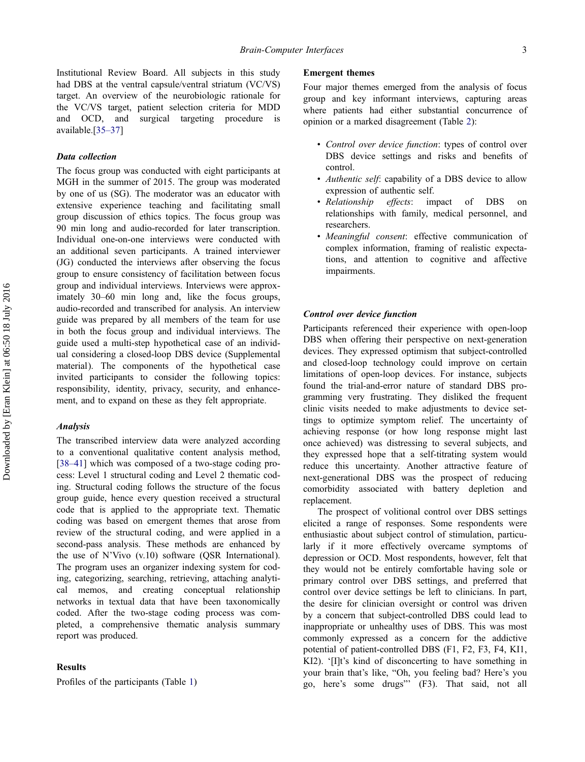Institutional Review Board. All subjects in this study had DBS at the ventral capsule/ventral striatum (VC/VS) target. An overview of the neurobiologic rationale for the VC/VS target, patient selection criteria for MDD and OCD, and surgical targeting procedure available.[\[35](#page-9-0)–37]

# Data collection

The focus group was conducted with eight participants at MGH in the summer of 2015. The group was moderated by one of us (SG). The moderator was an educator with extensive experience teaching and facilitating small group discussion of ethics topics. The focus group was 90 min long and audio-recorded for later transcription. Individual one-on-one interviews were conducted with an additional seven participants. A trained interviewer (JG) conducted the interviews after observing the focus group to ensure consistency of facilitation between focus group and individual interviews. Interviews were approximately 30–60 min long and, like the focus groups, audio-recorded and transcribed for analysis. An interview guide was prepared by all members of the team for use in both the focus group and individual interviews. The guide used a multi-step hypothetical case of an individual considering a closed-loop DBS device (Supplemental material). The components of the hypothetical case invited participants to consider the following topics: responsibility, identity, privacy, security, and enhancement, and to expand on these as they felt appropriate.

#### Analysis

The transcribed interview data were analyzed according to a conventional qualitative content analysis method, [\[38](#page-9-0)–41] which was composed of a two-stage coding process: Level 1 structural coding and Level 2 thematic coding. Structural coding follows the structure of the focus group guide, hence every question received a structural code that is applied to the appropriate text. Thematic coding was based on emergent themes that arose from review of the structural coding, and were applied in a second-pass analysis. These methods are enhanced by the use of N'Vivo (v.10) software (QSR International). The program uses an organizer indexing system for coding, categorizing, searching, retrieving, attaching analytical memos, and creating conceptual relationship networks in textual data that have been taxonomically coded. After the two-stage coding process was completed, a comprehensive thematic analysis summary report was produced.

#### Results

Profiles of the participants (Table [1\)](#page-4-0)

#### Emergent themes

Four major themes emerged from the analysis of focus group and key informant interviews, capturing areas where patients had either substantial concurrence of opinion or a marked disagreement (Table [2](#page-5-0)):

- Control over device function: types of control over DBS device settings and risks and benefits of control.
- Authentic self: capability of a DBS device to allow expression of authentic self.
- Relationship effects: impact of DBS on relationships with family, medical personnel, and researchers.
- Meaningful consent: effective communication of complex information, framing of realistic expectations, and attention to cognitive and affective impairments.

#### Control over device function

Participants referenced their experience with open-loop DBS when offering their perspective on next-generation devices. They expressed optimism that subject-controlled and closed-loop technology could improve on certain limitations of open-loop devices. For instance, subjects found the trial-and-error nature of standard DBS programming very frustrating. They disliked the frequent clinic visits needed to make adjustments to device settings to optimize symptom relief. The uncertainty of achieving response (or how long response might last once achieved) was distressing to several subjects, and they expressed hope that a self-titrating system would reduce this uncertainty. Another attractive feature of next-generational DBS was the prospect of reducing comorbidity associated with battery depletion and replacement.

The prospect of volitional control over DBS settings elicited a range of responses. Some respondents were enthusiastic about subject control of stimulation, particularly if it more effectively overcame symptoms of depression or OCD. Most respondents, however, felt that they would not be entirely comfortable having sole or primary control over DBS settings, and preferred that control over device settings be left to clinicians. In part, the desire for clinician oversight or control was driven by a concern that subject-controlled DBS could lead to inappropriate or unhealthy uses of DBS. This was most commonly expressed as a concern for the addictive potential of patient-controlled DBS (F1, F2, F3, F4, KI1, KI2). '[I]t's kind of disconcerting to have something in your brain that's like, "Oh, you feeling bad? Here's you go, here's some drugs"' (F3). That said, not all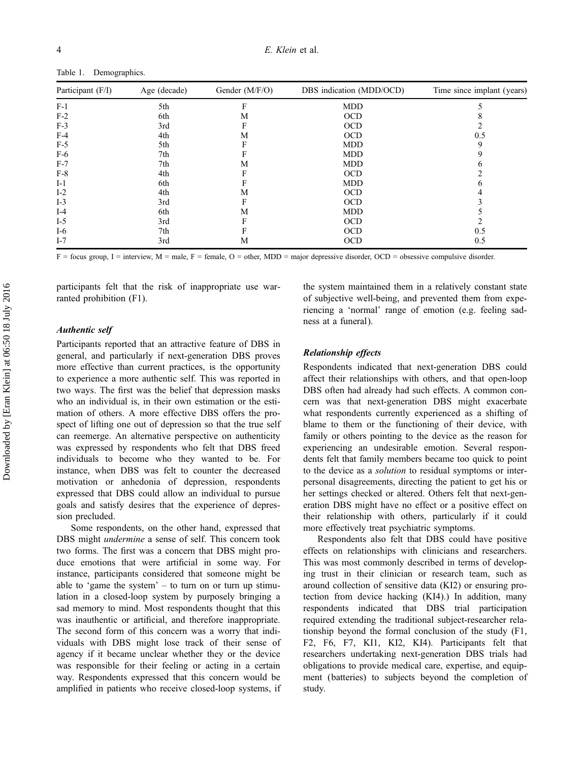<span id="page-4-0"></span>Table 1. Demographics.

| Participant (F/I) | Age (decade) | Gender (M/F/O) | DBS indication (MDD/OCD) | Time since implant (years) |
|-------------------|--------------|----------------|--------------------------|----------------------------|
| $F-1$             | 5th          |                | <b>MDD</b>               |                            |
| $F-2$             | 6th          | М              | <b>OCD</b>               |                            |
| $F-3$             | 3rd          | F              | <b>OCD</b>               |                            |
| F-4               | 4th          | М              | <b>OCD</b>               | 0.5                        |
| $F-5$             | 5th          |                | <b>MDD</b>               |                            |
| F-6               | 7th          |                | <b>MDD</b>               |                            |
| $F-7$             | 7th          | М              | <b>MDD</b>               |                            |
| $F-8$             | 4th          |                | <b>OCD</b>               |                            |
| $I-1$             | 6th          |                | <b>MDD</b>               |                            |
| $I-2$             | 4th          | М              | <b>OCD</b>               |                            |
| $I-3$             | 3rd          |                | <b>OCD</b>               |                            |
| $I-4$             | 6th          | М              | <b>MDD</b>               |                            |
| $I-5$             | 3rd          |                | <b>OCD</b>               |                            |
| $I-6$             | 7th          |                | <b>OCD</b>               | 0.5                        |
| $I-7$             | 3rd          | М              | <b>OCD</b>               | 0.5                        |

 $F =$  focus group, I = interview, M = male, F = female, O = other, MDD = major depressive disorder, OCD = obsessive compulsive disorder.

participants felt that the risk of inappropriate use warranted prohibition (F1).

# Authentic self

Participants reported that an attractive feature of DBS in general, and particularly if next-generation DBS proves more effective than current practices, is the opportunity to experience a more authentic self. This was reported in two ways. The first was the belief that depression masks who an individual is, in their own estimation or the estimation of others. A more effective DBS offers the prospect of lifting one out of depression so that the true self can reemerge. An alternative perspective on authenticity was expressed by respondents who felt that DBS freed individuals to become who they wanted to be. For instance, when DBS was felt to counter the decreased motivation or anhedonia of depression, respondents expressed that DBS could allow an individual to pursue goals and satisfy desires that the experience of depression precluded.

Some respondents, on the other hand, expressed that DBS might undermine a sense of self. This concern took two forms. The first was a concern that DBS might produce emotions that were artificial in some way. For instance, participants considered that someone might be able to 'game the system'  $-$  to turn on or turn up stimulation in a closed-loop system by purposely bringing a sad memory to mind. Most respondents thought that this was inauthentic or artificial, and therefore inappropriate. The second form of this concern was a worry that individuals with DBS might lose track of their sense of agency if it became unclear whether they or the device was responsible for their feeling or acting in a certain way. Respondents expressed that this concern would be amplified in patients who receive closed-loop systems, if the system maintained them in a relatively constant state of subjective well-being, and prevented them from experiencing a 'normal' range of emotion (e.g. feeling sadness at a funeral).

#### Relationship effects

Respondents indicated that next-generation DBS could affect their relationships with others, and that open-loop DBS often had already had such effects. A common concern was that next-generation DBS might exacerbate what respondents currently experienced as a shifting of blame to them or the functioning of their device, with family or others pointing to the device as the reason for experiencing an undesirable emotion. Several respondents felt that family members became too quick to point to the device as a solution to residual symptoms or interpersonal disagreements, directing the patient to get his or her settings checked or altered. Others felt that next-generation DBS might have no effect or a positive effect on their relationship with others, particularly if it could more effectively treat psychiatric symptoms.

Respondents also felt that DBS could have positive effects on relationships with clinicians and researchers. This was most commonly described in terms of developing trust in their clinician or research team, such as around collection of sensitive data (KI2) or ensuring protection from device hacking (KI4).) In addition, many respondents indicated that DBS trial participation required extending the traditional subject-researcher relationship beyond the formal conclusion of the study (F1, F2, F6, F7, KI1, KI2, KI4). Participants felt that researchers undertaking next-generation DBS trials had obligations to provide medical care, expertise, and equipment (batteries) to subjects beyond the completion of study.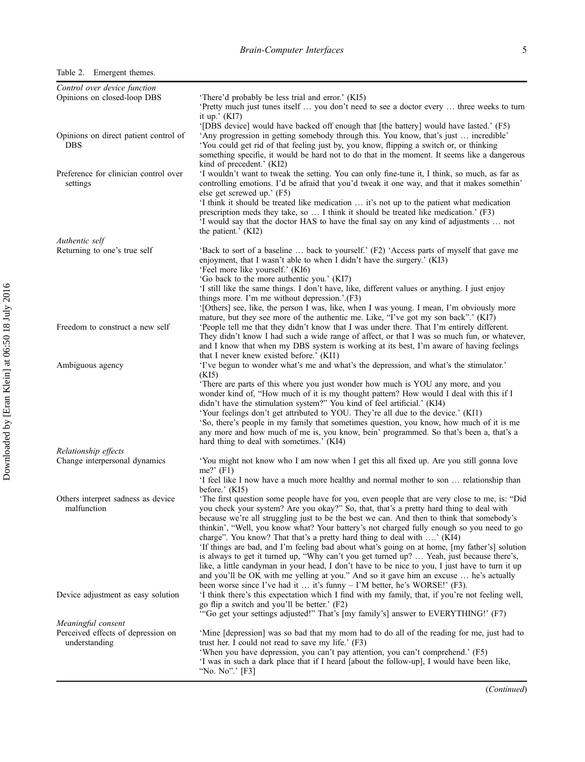<span id="page-5-0"></span>

|  |  | Table 2. | Emergent themes. |  |
|--|--|----------|------------------|--|
|--|--|----------|------------------|--|

| Control over device function          |                                                                                                                                                                                          |
|---------------------------------------|------------------------------------------------------------------------------------------------------------------------------------------------------------------------------------------|
| Opinions on closed-loop DBS           | 'There'd probably be less trial and error.' (KI5)                                                                                                                                        |
|                                       | 'Pretty much just tunes itself  you don't need to see a doctor every  three weeks to turn<br>it up.' $(KI7)$                                                                             |
|                                       | '[DBS device] would have backed off enough that [the battery] would have lasted.' (F5)                                                                                                   |
| Opinions on direct patient control of | 'Any progression in getting somebody through this. You know, that's just  incredible'                                                                                                    |
| <b>DBS</b>                            | 'You could get rid of that feeling just by, you know, flipping a switch or, or thinking                                                                                                  |
|                                       | something specific, it would be hard not to do that in the moment. It seems like a dangerous                                                                                             |
| Preference for clinician control over | kind of precedent.' (KI2)<br>'I wouldn't want to tweak the setting. You can only fine-tune it, I think, so much, as far as                                                               |
| settings                              | controlling emotions. I'd be afraid that you'd tweak it one way, and that it makes somethin'                                                                                             |
|                                       | else get screwed up.' (F5)                                                                                                                                                               |
|                                       | If think it should be treated like medication  it's not up to the patient what medication                                                                                                |
|                                       | prescription meds they take, so  I think it should be treated like medication.' (F3)<br>'I would say that the doctor HAS to have the final say on any kind of adjustments  not           |
|                                       | the patient.' (KI2)                                                                                                                                                                      |
| Authentic self                        |                                                                                                                                                                                          |
| Returning to one's true self          | 'Back to sort of a baseline  back to yourself.' (F2) 'Access parts of myself that gave me                                                                                                |
|                                       | enjoyment, that I wasn't able to when I didn't have the surgery.' (KI3)                                                                                                                  |
|                                       | 'Feel more like yourself.' (KI6)<br>'Go back to the more authentic you.' (KI7)                                                                                                           |
|                                       | 'I still like the same things. I don't have, like, different values or anything. I just enjoy                                                                                            |
|                                       | things more. I'm me without depression.'.(F3)                                                                                                                                            |
|                                       | '[Others] see, like, the person I was, like, when I was young. I mean, I'm obviously more                                                                                                |
| Freedom to construct a new self       | mature, but they see more of the authentic me. Like, "I've got my son back".' (KI7)<br>'People tell me that they didn't know that I was under there. That I'm entirely different.        |
|                                       | They didn't know I had such a wide range of affect, or that I was so much fun, or whatever,                                                                                              |
|                                       | and I know that when my DBS system is working at its best, I'm aware of having feelings                                                                                                  |
|                                       | that I never knew existed before.' (KI1)                                                                                                                                                 |
| Ambiguous agency                      | 'I've begun to wonder what's me and what's the depression, and what's the stimulator.'<br>(KI5)                                                                                          |
|                                       | There are parts of this where you just wonder how much is YOU any more, and you                                                                                                          |
|                                       | wonder kind of, "How much of it is my thought pattern? How would I deal with this if I                                                                                                   |
|                                       | didn't have the stimulation system?" You kind of feel artificial.' (KI4)                                                                                                                 |
|                                       | 'Your feelings don't get attributed to YOU. They're all due to the device.' (KI1)<br>'So, there's people in my family that sometimes question, you know, how much of it is me            |
|                                       | any more and how much of me is, you know, bein' programmed. So that's been a, that's a                                                                                                   |
|                                       | hard thing to deal with sometimes.' (KI4)                                                                                                                                                |
| Relationship effects                  |                                                                                                                                                                                          |
| Change interpersonal dynamics         | 'You might not know who I am now when I get this all fixed up. Are you still gonna love<br>me?' $(F1)$                                                                                   |
|                                       | If feel like I now have a much more healthy and normal mother to son  relationship than                                                                                                  |
|                                       | before.' (KI5)                                                                                                                                                                           |
| Others interpret sadness as device    | The first question some people have for you, even people that are very close to me, is: "Did"                                                                                            |
| malfunction                           | you check your system? Are you okay?" So, that, that's a pretty hard thing to deal with                                                                                                  |
|                                       | because we're all struggling just to be the best we can. And then to think that somebody's<br>thinkin', "Well, you know what? Your battery's not charged fully enough so you need to go  |
|                                       | charge". You know? That that's a pretty hard thing to deal with ' (KI4)                                                                                                                  |
|                                       | 'If things are bad, and I'm feeling bad about what's going on at home, [my father's] solution                                                                                            |
|                                       | is always to get it turned up, "Why can't you get turned up?  Yeah, just because there's,                                                                                                |
|                                       | like, a little candyman in your head, I don't have to be nice to you, I just have to turn it up<br>and you'll be OK with me yelling at you." And so it gave him an excuse  he's actually |
|                                       | been worse since I've had it  it's funny - I'M better, he's WORSE!' (F3).                                                                                                                |
| Device adjustment as easy solution    | 'I think there's this expectation which I find with my family, that, if you're not feeling well,                                                                                         |
|                                       | go flip a switch and you'll be better.' (F2)                                                                                                                                             |
| Meaningful consent                    | "Go get your settings adjusted!" That's [my family's] answer to EVERYTHING!' (F7)                                                                                                        |
| Perceived effects of depression on    | 'Mine [depression] was so bad that my mom had to do all of the reading for me, just had to                                                                                               |
| understanding                         | trust her. I could not read to save my life.' (F3)                                                                                                                                       |
|                                       | 'When you have depression, you can't pay attention, you can't comprehend.' (F5)                                                                                                          |
|                                       | 'I was in such a dark place that if I heard [about the follow-up], I would have been like,<br>"No. No".' [F3]                                                                            |
|                                       |                                                                                                                                                                                          |
|                                       |                                                                                                                                                                                          |

(Continued)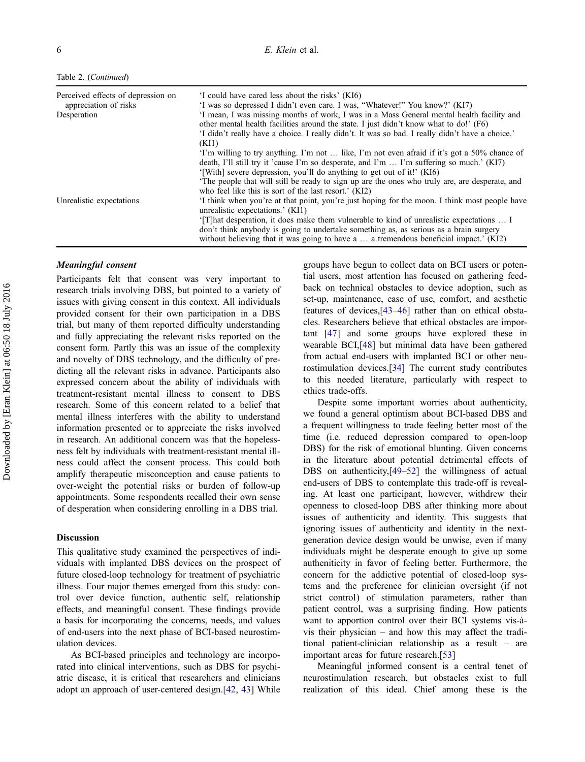<span id="page-6-0"></span>

| Perceived effects of depression on<br>appreciation of risks | 'I could have cared less about the risks' (KI6)<br>'I was so depressed I didn't even care. I was, "Whatever!" You know?' (KI7)                                                                                                                                                                                                                                                                                              |
|-------------------------------------------------------------|-----------------------------------------------------------------------------------------------------------------------------------------------------------------------------------------------------------------------------------------------------------------------------------------------------------------------------------------------------------------------------------------------------------------------------|
| Desperation                                                 | 'I mean, I was missing months of work, I was in a Mass General mental health facility and<br>other mental health facilities around the state. I just didn't know what to do!' (F6)<br>'I didn't really have a choice. I really didn't. It was so bad. I really didn't have a choice.'<br>(KI1)                                                                                                                              |
|                                                             | T'm willing to try anything. I'm not  like, I'm not even afraid if it's got a 50% chance of<br>death, I'll still try it 'cause I'm so desperate, and I'm  I'm suffering so much.' (KI7)<br>'[With] severe depression, you'll do anything to get out of it!' (KI6)<br>The people that will still be ready to sign up are the ones who truly are, are desperate, and<br>who feel like this is sort of the last resort.' (KI2) |
| Unrealistic expectations                                    | I think when you're at that point, you're just hoping for the moon. I think most people have<br>unrealistic expectations.' (KI1)<br>That desperation, it does make them vulnerable to kind of unrealistic expectations  I<br>don't think anybody is going to undertake something as, as serious as a brain surgery<br>without believing that it was going to have a  a tremendous beneficial impact.' (KI2)                 |

#### Meaningful consent

Participants felt that consent was very important to research trials involving DBS, but pointed to a variety of issues with giving consent in this context. All individuals provided consent for their own participation in a DBS trial, but many of them reported difficulty understanding and fully appreciating the relevant risks reported on the consent form. Partly this was an issue of the complexity and novelty of DBS technology, and the difficulty of predicting all the relevant risks in advance. Participants also expressed concern about the ability of individuals with treatment-resistant mental illness to consent to DBS research. Some of this concern related to a belief that mental illness interferes with the ability to understand information presented or to appreciate the risks involved in research. An additional concern was that the hopelessness felt by individuals with treatment-resistant mental illness could affect the consent process. This could both amplify therapeutic misconception and cause patients to over-weight the potential risks or burden of follow-up appointments. Some respondents recalled their own sense of desperation when considering enrolling in a DBS trial.

### **Discussion**

This qualitative study examined the perspectives of individuals with implanted DBS devices on the prospect of future closed-loop technology for treatment of psychiatric illness. Four major themes emerged from this study: control over device function, authentic self, relationship effects, and meaningful consent. These findings provide a basis for incorporating the concerns, needs, and values of end-users into the next phase of BCI-based neurostimulation devices.

As BCI-based principles and technology are incorporated into clinical interventions, such as DBS for psychiatric disease, it is critical that researchers and clinicians adopt an approach of user-centered design.[[42, 43](#page-9-0)] While

groups have begun to collect data on BCI users or potential users, most attention has focused on gathering feedback on technical obstacles to device adoption, such as set-up, maintenance, ease of use, comfort, and aesthetic features of devices,[\[43](#page-9-0)–46] rather than on ethical obstacles. Researchers believe that ethical obstacles are important [\[47](#page-9-0)] and some groups have explored these in wearable BCI,[[48\]](#page-9-0) but minimal data have been gathered from actual end-users with implanted BCI or other neurostimulation devices.[[34\]](#page-9-0) The current study contributes to this needed literature, particularly with respect to ethics trade-offs.

Despite some important worries about authenticity, we found a general optimism about BCI-based DBS and a frequent willingness to trade feeling better most of the time (i.e. reduced depression compared to open-loop DBS) for the risk of emotional blunting. Given concerns in the literature about potential detrimental effects of DBS on authenticity,[49–[52\]](#page-9-0) the willingness of actual end-users of DBS to contemplate this trade-off is revealing. At least one participant, however, withdrew their openness to closed-loop DBS after thinking more about issues of authenticity and identity. This suggests that ignoring issues of authenticity and identity in the nextgeneration device design would be unwise, even if many individuals might be desperate enough to give up some autheniticity in favor of feeling better. Furthermore, the concern for the addictive potential of closed-loop systems and the preference for clinician oversight (if not strict control) of stimulation parameters, rather than patient control, was a surprising finding. How patients want to apportion control over their BCI systems vis-àvis their physician – and how this may affect the traditional patient-clinician relationship as a result – are important areas for future research.[\[53](#page-9-0)]

Meaningful informed consent is a central tenet of neurostimulation research, but obstacles exist to full realization of this ideal. Chief among these is the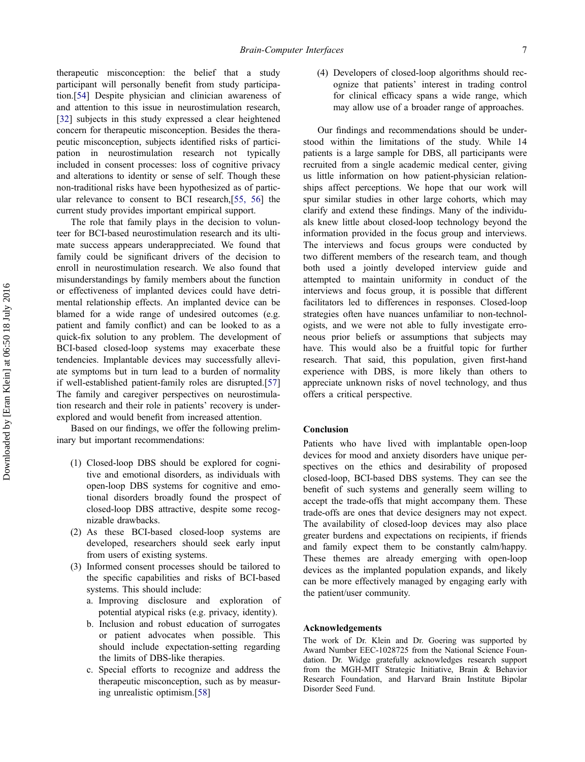<span id="page-7-0"></span>therapeutic misconception: the belief that a study participant will personally benefit from study participation.[\[54](#page-9-0)] Despite physician and clinician awareness of and attention to this issue in neurostimulation research, [\[32](#page-9-0)] subjects in this study expressed a clear heightened concern for therapeutic misconception. Besides the therapeutic misconception, subjects identified risks of participation in neurostimulation research not typically included in consent processes: loss of cognitive privacy and alterations to identity or sense of self. Though these non-traditional risks have been hypothesized as of particular relevance to consent to BCI research,[[55, 56\]](#page-9-0) the current study provides important empirical support.

The role that family plays in the decision to volunteer for BCI-based neurostimulation research and its ultimate success appears underappreciated. We found that family could be significant drivers of the decision to enroll in neurostimulation research. We also found that misunderstandings by family members about the function or effectiveness of implanted devices could have detrimental relationship effects. An implanted device can be blamed for a wide range of undesired outcomes (e.g. patient and family conflict) and can be looked to as a quick-fix solution to any problem. The development of BCI-based closed-loop systems may exacerbate these tendencies. Implantable devices may successfully alleviate symptoms but in turn lead to a burden of normality if well-established patient-family roles are disrupted.[[57\]](#page-9-0) The family and caregiver perspectives on neurostimulation research and their role in patients' recovery is underexplored and would benefit from increased attention.

Based on our findings, we offer the following preliminary but important recommendations:

- (1) Closed-loop DBS should be explored for cognitive and emotional disorders, as individuals with open-loop DBS systems for cognitive and emotional disorders broadly found the prospect of closed-loop DBS attractive, despite some recognizable drawbacks.
- (2) As these BCI-based closed-loop systems are developed, researchers should seek early input from users of existing systems.
- (3) Informed consent processes should be tailored to the specific capabilities and risks of BCI-based systems. This should include:
	- a. Improving disclosure and exploration of potential atypical risks (e.g. privacy, identity).
	- b. Inclusion and robust education of surrogates or patient advocates when possible. This should include expectation-setting regarding the limits of DBS-like therapies.
	- c. Special efforts to recognize and address the therapeutic misconception, such as by measuring unrealistic optimism.[[58](#page-9-0)]

(4) Developers of closed-loop algorithms should recognize that patients' interest in trading control for clinical efficacy spans a wide range, which may allow use of a broader range of approaches.

Our findings and recommendations should be understood within the limitations of the study. While 14 patients is a large sample for DBS, all participants were recruited from a single academic medical center, giving us little information on how patient-physician relationships affect perceptions. We hope that our work will spur similar studies in other large cohorts, which may clarify and extend these findings. Many of the individuals knew little about closed-loop technology beyond the information provided in the focus group and interviews. The interviews and focus groups were conducted by two different members of the research team, and though both used a jointly developed interview guide and attempted to maintain uniformity in conduct of the interviews and focus group, it is possible that different facilitators led to differences in responses. Closed-loop strategies often have nuances unfamiliar to non-technologists, and we were not able to fully investigate erroneous prior beliefs or assumptions that subjects may have. This would also be a fruitful topic for further research. That said, this population, given first-hand experience with DBS, is more likely than others to appreciate unknown risks of novel technology, and thus offers a critical perspective.

#### Conclusion

Patients who have lived with implantable open-loop devices for mood and anxiety disorders have unique perspectives on the ethics and desirability of proposed closed-loop, BCI-based DBS systems. They can see the benefit of such systems and generally seem willing to accept the trade-offs that might accompany them. These trade-offs are ones that device designers may not expect. The availability of closed-loop devices may also place greater burdens and expectations on recipients, if friends and family expect them to be constantly calm/happy. These themes are already emerging with open-loop devices as the implanted population expands, and likely can be more effectively managed by engaging early with the patient/user community.

#### Acknowledgements

The work of Dr. Klein and Dr. Goering was supported by Award Number EEC-1028725 from the National Science Foundation. Dr. Widge gratefully acknowledges research support from the MGH-MIT Strategic Initiative, Brain & Behavior Research Foundation, and Harvard Brain Institute Bipolar Disorder Seed Fund.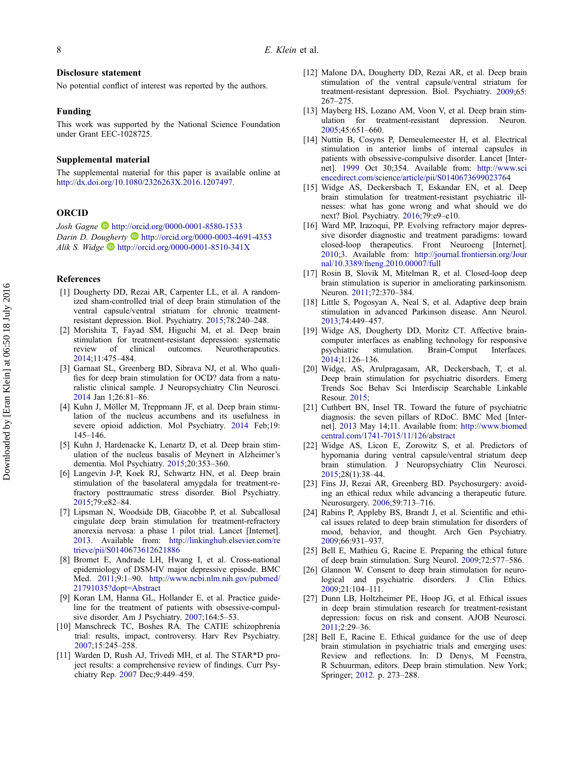#### <span id="page-8-0"></span>Disclosure statement

No potential conflict of interest was reported by the authors.

#### Funding

This work was supported by the National Science Foundation under Grant EEC-1028725.

#### Supplemental material

The supplemental material for this paper is available online at <http://dx.doi.org/10.1080/2326263X.2016.1207497>.

### **ORCID**

Josh Gagne <http://orcid.org/0000-0001-8580-1533> Darin D. Dougherty  $\blacksquare$  <http://orcid.org/0000-0003-4691-4353> Alik S. Widge  $\blacksquare$  <http://orcid.org/0000-0001-8510-341X>

#### References

- [1] Dougherty DD, Rezai AR, Carpenter LL, et al. A randomized sham-controlled trial of deep brain stimulation of the ventral capsule/ventral striatum for chronic treatmentresistant depression. Biol. Psychiatry. 2015;78:240–248.
- [2] Morishita T, Fayad SM, Higuchi M, et al. Deep brain stimulation for treatment-resistant depression: systematic review of clinical outcomes. Neurotherapeutics. 2014;11:475–484.
- [3] Garnaat SL, Greenberg BD, Sibrava NJ, et al. Who qualifies for deep brain stimulation for OCD? data from a naturalistic clinical sample. J Neuropsychiatry Clin Neurosci. [2014](#page-1-0) Jan 1;26:81–86.
- [4] Kuhn J, Möller M, Treppmann JF, et al. Deep brain stimulation of the nucleus accumbens and its usefulness in severe opioid addiction. Mol Psychiatry. 2014 Feb;19: 145–146.
- [5] Kuhn J, Hardenacke K, Lenartz D, et al. Deep brain stimulation of the nucleus basalis of Meynert in Alzheimer's dementia. Mol Psychiatry. 2015;20:353–360.
- [6] Langevin J-P, Koek RJ, Schwartz HN, et al. Deep brain stimulation of the basolateral amygdala for treatment-refractory posttraumatic stress disorder. Biol Psychiatry. 2015;79:e82–84.
- [7] Lipsman N, Woodside DB, Giacobbe P, et al. Subcallosal cingulate deep brain stimulation for treatment-refractory anorexia nervosa: a phase 1 pilot trial. Lancet [Internet]. 2013. Available from: [http://linkinghub.elsevier.com/re](http://linkinghub.elsevier.com/retrieve/pii/S0140673612621886) [trieve/pii/S0140673612621886](http://linkinghub.elsevier.com/retrieve/pii/S0140673612621886)
- [8] Bromet E, Andrade LH, Hwang I, et al. Cross-national epidemiology of DSM-IV major depressive episode. BMC Med. [2011;](#page-1-0)9:1–90. [http://www.ncbi.nlm.nih.gov/pubmed/](http://www.ncbi.nlm.nih.gov/pubmed/21791035?dopt=Abstract) [21791035?dopt=Abstract](http://www.ncbi.nlm.nih.gov/pubmed/21791035?dopt=Abstract)
- [9] Koran LM, Hanna GL, Hollander E, et al. Practice guideline for the treatment of patients with obsessive-compulsive disorder. Am J Psychiatry. [2007;](#page-1-0)164:5–53.
- [10] Manschreck TC, Boshes RA. The CATIE schizophrenia trial: results, impact, controversy. Harv Rev Psychiatry. 2007;15:245–258.
- [11] Warden D, Rush AJ, Trivedi MH, et al. The STAR\*D project results: a comprehensive review of findings. Curr Psychiatry Rep. 2007 Dec;9:449–459.
- [12] Malone DA, Dougherty DD, Rezai AR, et al. Deep brain stimulation of the ventral capsule/ventral striatum for treatment-resistant depression. Biol. Psychiatry. 2009;65: 267–275.
- [13] Mayberg HS, Lozano AM, Voon V, et al. Deep brain stimulation for treatment-resistant depression. Neuron. 2005;45:651–660.
- [14] Nuttin B, Cosyns P, Demeulemeester H, et al. Electrical stimulation in anterior limbs of internal capsules in patients with obsessive-compulsive disorder. Lancet [Internet]. 1999 Oct 30;354. Available from: [http://www.sci](http://www.sciencedirect.com/science/article/pii/S0140673699023764) [encedirect.com/science/article/pii/S0140673699023764](http://www.sciencedirect.com/science/article/pii/S0140673699023764)
- [15] Widge AS, Deckersbach T, Eskandar EN, et al. Deep brain stimulation for treatment-resistant psychiatric illnesses: what has gone wrong and what should we do next? Biol. Psychiatry. [2016;](#page-1-0)79:e9–e10.
- [16] Ward MP, Irazoqui, PP. Evolving refractory major depressive disorder diagnostic and treatment paradigms: toward closed-loop therapeutics. Front Neuroeng [Internet]. 2010;3. Available from: [http://journal.frontiersin.org/Jour](http://journal.frontiersin.org/Journal/10.3389/fneng.2010.00007/full) [nal/10.3389/fneng.2010.00007/full](http://journal.frontiersin.org/Journal/10.3389/fneng.2010.00007/full)
- [17] Rosin B, Slovik M, Mitelman R, et al. Closed-loop deep brain stimulation is superior in ameliorating parkinsonism. Neuron. 2011;72:370–384.
- [18] Little S, Pogosyan A, Neal S, et al. Adaptive deep brain stimulation in advanced Parkinson disease. Ann Neurol. 2013;74:449–457.
- [19] Widge AS, Dougherty DD, Moritz CT. Affective braincomputer interfaces as enabling technology for responsive psychiatric stimulation. Brain-Comput Interfaces. [2014;](#page-2-0)1:126–136.
- [20] Widge, AS, Arulpragasam, AR, Deckersbach, T, et al. Deep brain stimulation for psychiatric disorders. Emerg Trends Soc Behav Sci Interdiscip Searchable Linkable Resour. 2015;
- [21] Cuthbert BN, Insel TR. Toward the future of psychiatric diagnosis: the seven pillars of RDoC. BMC Med [Internet]. 2013 May 14;11. Available from: [http://www.biomed](http://www.biomedcentral.com/1741-7015/11/126/abstract) [central.com/1741-7015/11/126/abstract](http://www.biomedcentral.com/1741-7015/11/126/abstract)
- [22] Widge AS, Licon E, Zorowitz S, et al. Predictors of hypomania during ventral capsule/ventral striatum deep brain stimulation. J Neuropsychiatry Clin Neurosci. [2015;](#page-1-0)28(1):38–44.
- [23] Fins JJ, Rezai AR, Greenberg BD. Psychosurgery: avoiding an ethical redux while advancing a therapeutic future. Neurosurgery. 2006;59:713–716.
- [24] Rabins P, Appleby BS, Brandt J, et al. Scientific and ethical issues related to deep brain stimulation for disorders of mood, behavior, and thought. Arch Gen Psychiatry. [2009;](#page-2-0)66:931–937.
- [25] Bell E, Mathieu G, Racine E. Preparing the ethical future of deep brain stimulation. Surg Neurol. 2009;72:577–586.
- [26] Glannon W. Consent to deep brain stimulation for neurological and psychiatric disorders. J Clin Ethics. 2009;21:104–111.
- [27] Dunn LB, Holtzheimer PE, Hoop JG, et al. Ethical issues in deep brain stimulation research for treatment-resistant depression: focus on risk and consent. AJOB Neurosci. 2011;2:29–36.
- [28] Bell E, Racine E. Ethical guidance for the use of deep brain stimulation in psychiatric trials and emerging uses: Review and reflections. In: D Denys, M Feenstra, R Schuurman, editors. Deep brain stimulation. New York; Springer; 2012. p. 273–288.